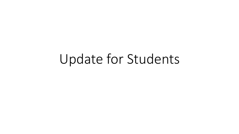# Update for Students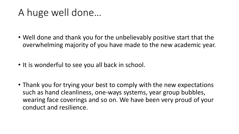#### A huge well done…

- Well done and thank you for the unbelievably positive start that the overwhelming majority of you have made to the new academic year.
- It is wonderful to see you all back in school.
- Thank you for trying your best to comply with the new expectations such as hand cleanliness, one-ways systems, year group bubbles, wearing face coverings and so on. We have been very proud of your conduct and resilience.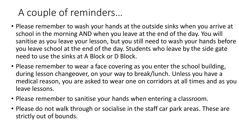## A couple of reminders…

- Please remember to wash your hands at the outside sinks when you arrive at school in the morning AND when you leave at the end of the day. You will sanitise as you leave your lesson, but you still need to wash your hands before you leave school at the end of the day. Students who leave by the side gate need to use the sinks at A Block or D Block.
- Please remember to wear a face covering as you enter the school building, during lesson changeover, on your way to break/lunch. Unless you have a medical reason, you are asked to wear one on corridors at all times and as you leave lessons.
- Please remember to sanitise your hands when entering a classroom.
- Please do not walk through or socialise in the staff car park areas. These are strictly out of bounds.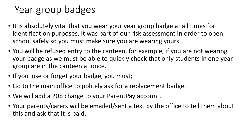## Year group badges

- It is absolutely vital that you wear your year group badge at all times for identification purposes. It was part of our risk assessment in order to open school safely so you must make sure you are wearing yours.
- You will be refused entry to the canteen, for example, if you are not wearing your badge as we must be able to quickly check that only students in one year group are in the canteen at once.
- If you lose or forget your badge, you must;
- Go to the main office to politely ask for a replacement badge.
- We will add a 20p charge to your ParentPay account.
- Your parents/carers will be emailed/sent a text by the office to tell them about this and ask that it is paid.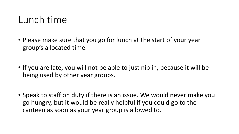#### Lunch time

- Please make sure that you go for lunch at the start of your year group's allocated time.
- If you are late, you will not be able to just nip in, because it will be being used by other year groups.
- Speak to staff on duty if there is an issue. We would never make you go hungry, but it would be really helpful if you could go to the canteen as soon as your year group is allowed to.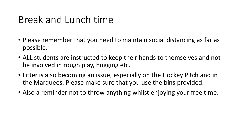#### Break and Lunch time

- Please remember that you need to maintain social distancing as far as possible.
- ALL students are instructed to keep their hands to themselves and not be involved in rough play, hugging etc.
- Litter is also becoming an issue, especially on the Hockey Pitch and in the Marquees. Please make sure that you use the bins provided.
- Also a reminder not to throw anything whilst enjoying your free time.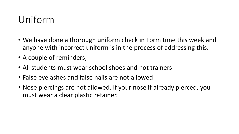## Uniform

- We have done a thorough uniform check in Form time this week and anyone with incorrect uniform is in the process of addressing this.
- A couple of reminders;
- All students must wear school shoes and not trainers
- False eyelashes and false nails are not allowed
- Nose piercings are not allowed. If your nose if already pierced, you must wear a clear plastic retainer.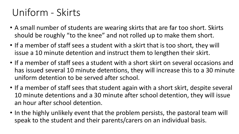### Uniform - Skirts

- A small number of students are wearing skirts that are far too short. Skirts should be roughly "to the knee" and not rolled up to make them short.
- If a member of staff sees a student with a skirt that is too short, they will issue a 10 minute detention and instruct them to lengthen their skirt.
- If a member of staff sees a student with a short skirt on several occasions and has issued several 10 minute detentions, they will increase this to a 30 minute uniform detention to be served after school.
- If a member of staff sees that student again with a short skirt, despite several 10 minute detentions and a 30 minute after school detention, they will issue an hour after school detention.
- In the highly unlikely event that the problem persists, the pastoral team will speak to the student and their parents/carers on an individual basis.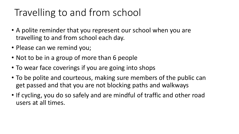## Travelling to and from school

- A polite reminder that you represent our school when you are travelling to and from school each day.
- Please can we remind you;
- Not to be in a group of more than 6 people
- To wear face coverings if you are going into shops
- To be polite and courteous, making sure members of the public can get passed and that you are not blocking paths and walkways
- If cycling, you do so safely and are mindful of traffic and other road users at all times.